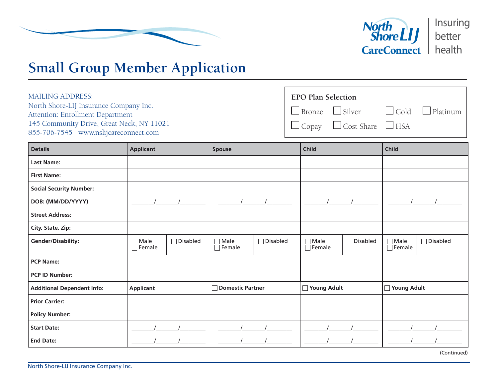



## **Small Group Member Application**

| <b>MAILING ADDRESS:</b>                                                       | <b>EPO Plan Selection</b> |                                                         |  |  |
|-------------------------------------------------------------------------------|---------------------------|---------------------------------------------------------|--|--|
| North Shore-LIJ Insurance Company Inc.                                        |                           | $\Box$ Bronze $\Box$ Silver $\Box$ Gold $\Box$ Platinum |  |  |
| Attention: Enrollment Department<br>145 Community Drive, Great Neck, NY 11021 |                           | $\Box$ Copay $\Box$ Cost Share $\Box$ HSA               |  |  |
| 855-706-7545 www.nslijcareconnect.com                                         |                           |                                                         |  |  |

| <b>Details</b>                    | <b>Applicant</b>             |                 | Spouse                       |                 | <b>Child</b>                 |                 | <b>Child</b>                 |                 |
|-----------------------------------|------------------------------|-----------------|------------------------------|-----------------|------------------------------|-----------------|------------------------------|-----------------|
| <b>Last Name:</b>                 |                              |                 |                              |                 |                              |                 |                              |                 |
| <b>First Name:</b>                |                              |                 |                              |                 |                              |                 |                              |                 |
| <b>Social Security Number:</b>    |                              |                 |                              |                 |                              |                 |                              |                 |
| DOB: (MM/DD/YYYY)                 |                              |                 |                              |                 |                              |                 |                              |                 |
| <b>Street Address:</b>            |                              |                 |                              |                 |                              |                 |                              |                 |
| City, State, Zip:                 |                              |                 |                              |                 |                              |                 |                              |                 |
| <b>Gender/Disability:</b>         | $\Box$ Male<br>$\Box$ Female | $\Box$ Disabled | $\Box$ Male<br>$\Box$ Female | $\Box$ Disabled | $\Box$ Male<br>$\Box$ Female | $\Box$ Disabled | $\Box$ Male<br>$\Box$ Female | $\Box$ Disabled |
| <b>PCP Name:</b>                  |                              |                 |                              |                 |                              |                 |                              |                 |
| <b>PCP ID Number:</b>             |                              |                 |                              |                 |                              |                 |                              |                 |
| <b>Additional Dependent Info:</b> | <b>Applicant</b>             |                 | <b>Domestic Partner</b>      |                 | □ Young Adult                |                 | <b>Noung Adult</b>           |                 |
| <b>Prior Carrier:</b>             |                              |                 |                              |                 |                              |                 |                              |                 |
| <b>Policy Number:</b>             |                              |                 |                              |                 |                              |                 |                              |                 |
| <b>Start Date:</b>                |                              |                 |                              |                 |                              |                 |                              |                 |
| <b>End Date:</b>                  |                              |                 |                              |                 |                              |                 |                              |                 |

(Continued)